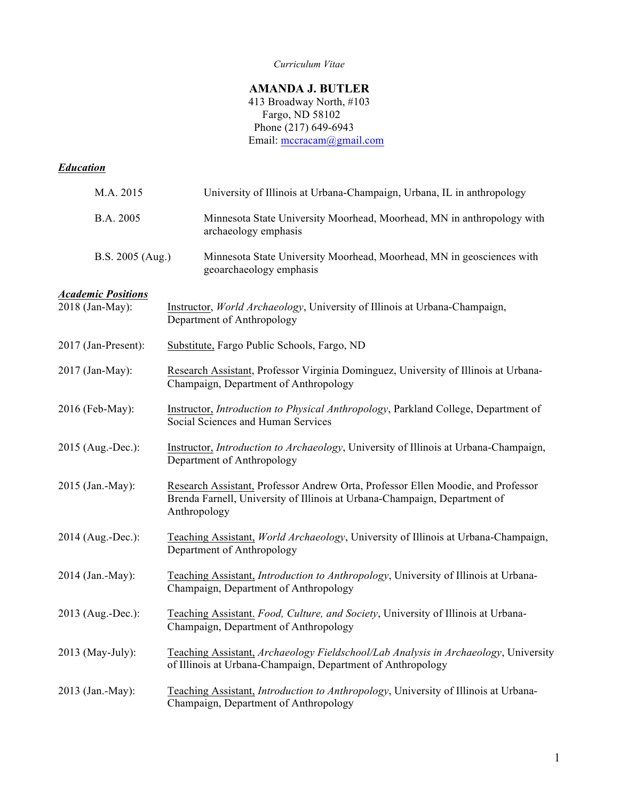#### *Curriculum Vitae*

# **AMANDA J. BUTLER**

 413 Broadway North, #103 Fargo, ND 58102 Phone (217) 649-6943 Email: mccracam@gmail.com

# *Education*

| M.A. 2015                 | University of Illinois at Urbana-Champaign, Urbana, IL in anthropology                                                                                                        |
|---------------------------|-------------------------------------------------------------------------------------------------------------------------------------------------------------------------------|
| B.A. 2005                 | Minnesota State University Moorhead, Moorhead, MN in anthropology with<br>archaeology emphasis                                                                                |
| B.S. 2005 (Aug.)          | Minnesota State University Moorhead, Moorhead, MN in geosciences with<br>geoarchaeology emphasis                                                                              |
| <b>Academic Positions</b> |                                                                                                                                                                               |
| 2018 (Jan-May):           | Instructor, World Archaeology, University of Illinois at Urbana-Champaign,<br>Department of Anthropology                                                                      |
| 2017 (Jan-Present):       | Substitute, Fargo Public Schools, Fargo, ND                                                                                                                                   |
| 2017 (Jan-May):           | Research Assistant, Professor Virginia Dominguez, University of Illinois at Urbana-<br>Champaign, Department of Anthropology                                                  |
| 2016 (Feb-May):           | Instructor, Introduction to Physical Anthropology, Parkland College, Department of<br>Social Sciences and Human Services                                                      |
| 2015 (Aug.-Dec.):         | Instructor, Introduction to Archaeology, University of Illinois at Urbana-Champaign,<br>Department of Anthropology                                                            |
| 2015 (Jan.-May):          | Research Assistant, Professor Andrew Orta, Professor Ellen Moodie, and Professor<br>Brenda Farnell, University of Illinois at Urbana-Champaign, Department of<br>Anthropology |
| 2014 (Aug.-Dec.):         | Teaching Assistant, <i>World Archaeology</i> , University of Illinois at Urbana-Champaign,<br>Department of Anthropology                                                      |
| 2014 (Jan.-May):          | Teaching Assistant, <i>Introduction to Anthropology</i> , University of Illinois at Urbana-<br>Champaign, Department of Anthropology                                          |
| 2013 (Aug.-Dec.):         | Teaching Assistant. Food, Culture, and Society, University of Illinois at Urbana-<br>Champaign, Department of Anthropology                                                    |
| 2013 (May-July):          | Teaching Assistant, Archaeology Fieldschool/Lab Analysis in Archaeology, University<br>of Illinois at Urbana-Champaign, Department of Anthropology                            |
| 2013 (Jan.-May):          | Teaching Assistant, Introduction to Anthropology, University of Illinois at Urbana-<br>Champaign, Department of Anthropology                                                  |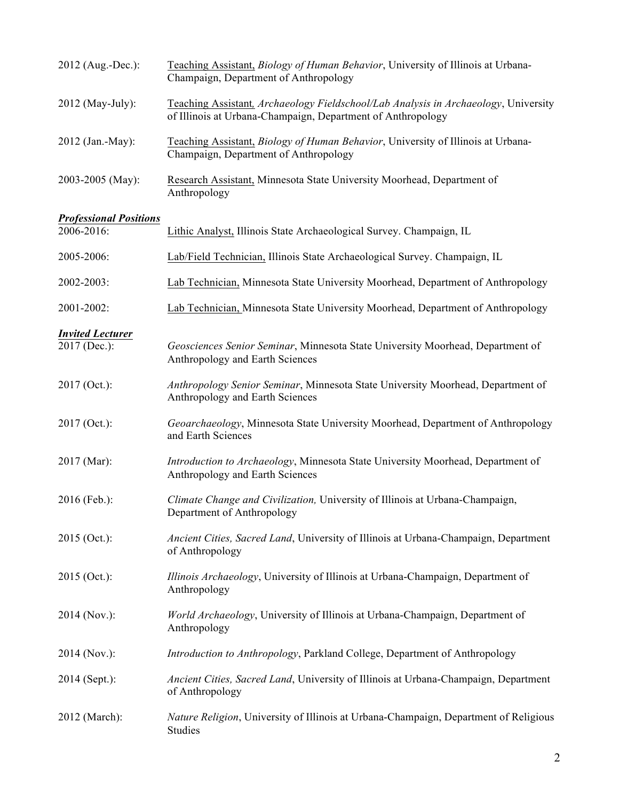| 2012 (Aug.-Dec.):             | Teaching Assistant, Biology of Human Behavior, University of Illinois at Urbana-<br>Champaign, Department of Anthropology                          |
|-------------------------------|----------------------------------------------------------------------------------------------------------------------------------------------------|
| 2012 (May-July):              | Teaching Assistant, Archaeology Fieldschool/Lab Analysis in Archaeology, University<br>of Illinois at Urbana-Champaign, Department of Anthropology |
| 2012 (Jan.-May):              | Teaching Assistant, Biology of Human Behavior, University of Illinois at Urbana-<br>Champaign, Department of Anthropology                          |
| 2003-2005 (May):              | Research Assistant, Minnesota State University Moorhead, Department of<br>Anthropology                                                             |
| <b>Professional Positions</b> |                                                                                                                                                    |
| 2006-2016:                    | Lithic Analyst, Illinois State Archaeological Survey. Champaign, IL                                                                                |
| 2005-2006:                    | Lab/Field Technician, Illinois State Archaeological Survey. Champaign, IL                                                                          |
| 2002-2003:                    | Lab Technician, Minnesota State University Moorhead, Department of Anthropology                                                                    |
| 2001-2002:                    | Lab Technician, Minnesota State University Moorhead, Department of Anthropology                                                                    |
| <b>Invited Lecturer</b>       |                                                                                                                                                    |
| 2017 (Dec.):                  | Geosciences Senior Seminar, Minnesota State University Moorhead, Department of<br>Anthropology and Earth Sciences                                  |
| 2017 (Oct.):                  | Anthropology Senior Seminar, Minnesota State University Moorhead, Department of<br>Anthropology and Earth Sciences                                 |
| 2017 (Oct.):                  | Geoarchaeology, Minnesota State University Moorhead, Department of Anthropology<br>and Earth Sciences                                              |
| 2017 (Mar):                   | Introduction to Archaeology, Minnesota State University Moorhead, Department of<br>Anthropology and Earth Sciences                                 |
| 2016 (Feb.):                  | Climate Change and Civilization, University of Illinois at Urbana-Champaign,<br>Department of Anthropology                                         |
| 2015 (Oct.):                  | Ancient Cities, Sacred Land, University of Illinois at Urbana-Champaign, Department<br>of Anthropology                                             |
| 2015 (Oct.):                  | Illinois Archaeology, University of Illinois at Urbana-Champaign, Department of<br>Anthropology                                                    |
| 2014 (Nov.):                  | World Archaeology, University of Illinois at Urbana-Champaign, Department of<br>Anthropology                                                       |
| 2014 (Nov.):                  | Introduction to Anthropology, Parkland College, Department of Anthropology                                                                         |
| 2014 (Sept.):                 | Ancient Cities, Sacred Land, University of Illinois at Urbana-Champaign, Department<br>of Anthropology                                             |
| 2012 (March):                 | Nature Religion, University of Illinois at Urbana-Champaign, Department of Religious<br>Studies                                                    |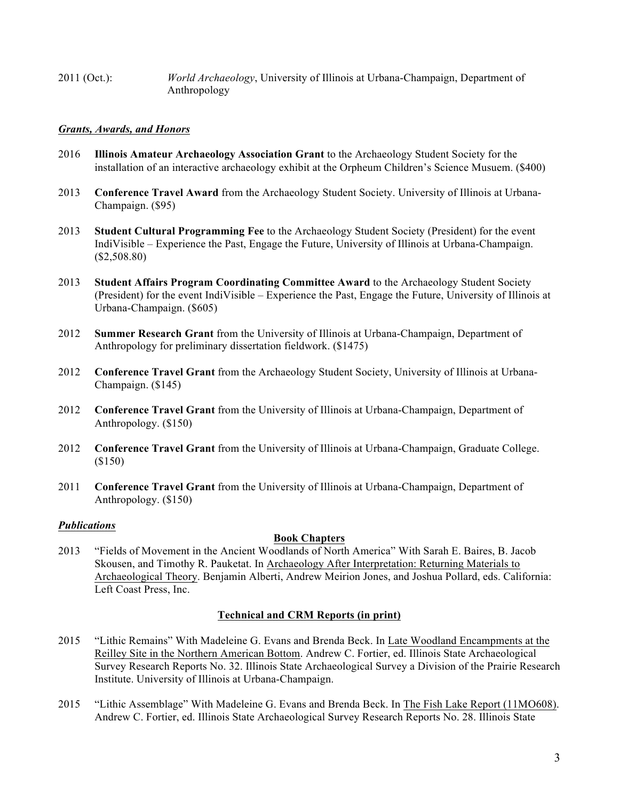2011 (Oct.): *World Archaeology*, University of Illinois at Urbana-Champaign, Department of Anthropology

## *Grants, Awards, and Honors*

- 2016 **Illinois Amateur Archaeology Association Grant** to the Archaeology Student Society for the installation of an interactive archaeology exhibit at the Orpheum Children's Science Musuem. (\$400)
- 2013 **Conference Travel Award** from the Archaeology Student Society. University of Illinois at Urbana-Champaign. (\$95)
- 2013 **Student Cultural Programming Fee** to the Archaeology Student Society (President) for the event IndiVisible – Experience the Past, Engage the Future, University of Illinois at Urbana-Champaign. (\$2,508.80)
- 2013 **Student Affairs Program Coordinating Committee Award** to the Archaeology Student Society (President) for the event IndiVisible – Experience the Past, Engage the Future, University of Illinois at Urbana-Champaign. (\$605)
- 2012 **Summer Research Grant** from the University of Illinois at Urbana-Champaign, Department of Anthropology for preliminary dissertation fieldwork. (\$1475)
- 2012 **Conference Travel Grant** from the Archaeology Student Society, University of Illinois at Urbana-Champaign. (\$145)
- 2012 **Conference Travel Grant** from the University of Illinois at Urbana-Champaign, Department of Anthropology. (\$150)
- 2012 **Conference Travel Grant** from the University of Illinois at Urbana-Champaign, Graduate College. (\$150)
- 2011 **Conference Travel Grant** from the University of Illinois at Urbana-Champaign, Department of Anthropology. (\$150)

## *Publications*

## **Book Chapters**

2013 "Fields of Movement in the Ancient Woodlands of North America" With Sarah E. Baires, B. Jacob Skousen, and Timothy R. Pauketat. In Archaeology After Interpretation: Returning Materials to Archaeological Theory. Benjamin Alberti, Andrew Meirion Jones, and Joshua Pollard, eds. California: Left Coast Press, Inc.

# **Technical and CRM Reports (in print)**

- 2015 "Lithic Remains" With Madeleine G. Evans and Brenda Beck. In Late Woodland Encampments at the Reilley Site in the Northern American Bottom. Andrew C. Fortier, ed. Illinois State Archaeological Survey Research Reports No. 32. Illinois State Archaeological Survey a Division of the Prairie Research Institute. University of Illinois at Urbana-Champaign.
- 2015 "Lithic Assemblage" With Madeleine G. Evans and Brenda Beck. In The Fish Lake Report (11MO608). Andrew C. Fortier, ed. Illinois State Archaeological Survey Research Reports No. 28. Illinois State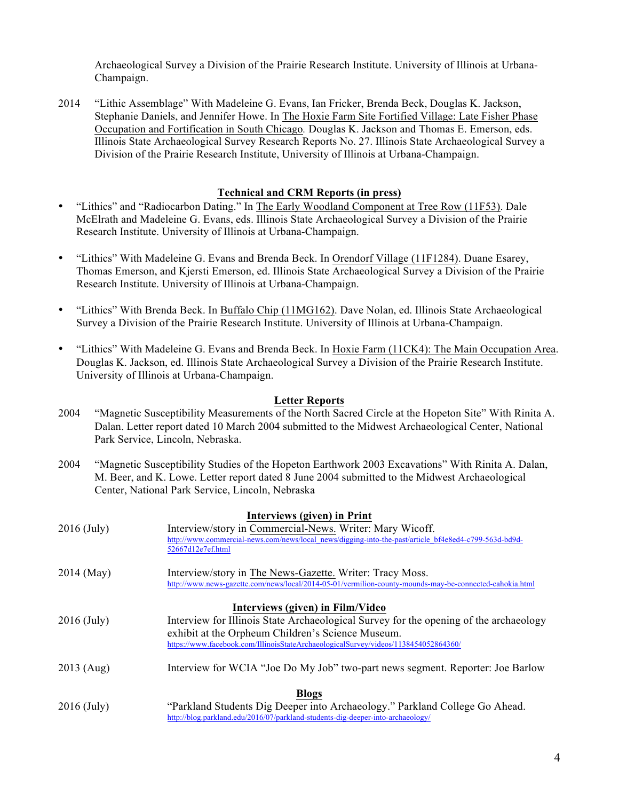Archaeological Survey a Division of the Prairie Research Institute. University of Illinois at Urbana-Champaign.

2014 "Lithic Assemblage" With Madeleine G. Evans, Ian Fricker, Brenda Beck, Douglas K. Jackson, Stephanie Daniels, and Jennifer Howe. In The Hoxie Farm Site Fortified Village: Late Fisher Phase Occupation and Fortification in South Chicago*.* Douglas K. Jackson and Thomas E. Emerson, eds. Illinois State Archaeological Survey Research Reports No. 27. Illinois State Archaeological Survey a Division of the Prairie Research Institute, University of Illinois at Urbana-Champaign.

## **Technical and CRM Reports (in press)**

- "Lithics" and "Radiocarbon Dating." In The Early Woodland Component at Tree Row (11F53). Dale McElrath and Madeleine G. Evans, eds. Illinois State Archaeological Survey a Division of the Prairie Research Institute. University of Illinois at Urbana-Champaign.
- "Lithics" With Madeleine G. Evans and Brenda Beck. In Orendorf Village (11F1284). Duane Esarey, Thomas Emerson, and Kjersti Emerson, ed. Illinois State Archaeological Survey a Division of the Prairie Research Institute. University of Illinois at Urbana-Champaign.
- "Lithics" With Brenda Beck. In Buffalo Chip (11MG162). Dave Nolan, ed. Illinois State Archaeological Survey a Division of the Prairie Research Institute. University of Illinois at Urbana-Champaign.
- "Lithics" With Madeleine G. Evans and Brenda Beck. In Hoxie Farm (11CK4): The Main Occupation Area. Douglas K. Jackson, ed. Illinois State Archaeological Survey a Division of the Prairie Research Institute. University of Illinois at Urbana-Champaign.

#### **Letter Reports**

- 2004 "Magnetic Susceptibility Measurements of the North Sacred Circle at the Hopeton Site" With Rinita A. Dalan. Letter report dated 10 March 2004 submitted to the Midwest Archaeological Center, National Park Service, Lincoln, Nebraska.
- 2004 "Magnetic Susceptibility Studies of the Hopeton Earthwork 2003 Excavations" With Rinita A. Dalan, M. Beer, and K. Lowe. Letter report dated 8 June 2004 submitted to the Midwest Archaeological Center, National Park Service, Lincoln, Nebraska

| Interviews (given) in Print      |                                                                                                         |
|----------------------------------|---------------------------------------------------------------------------------------------------------|
| $2016$ (July)                    | Interview/story in Commercial-News. Writer: Mary Wicoff.                                                |
|                                  | http://www.commercial-news.com/news/local_news/digging-into-the-past/article_bf4e8ed4-c799-563d-bd9d-   |
|                                  | 52667d12e7ef.html                                                                                       |
| 2014 (May)                       | Interview/story in The News-Gazette. Writer: Tracy Moss.                                                |
|                                  | http://www.news-gazette.com/news/local/2014-05-01/vermilion-county-mounds-may-be-connected-cahokia.html |
| Interviews (given) in Film/Video |                                                                                                         |
| $2016$ (July)                    | Interview for Illinois State Archaeological Survey for the opening of the archaeology                   |
|                                  | exhibit at the Orpheum Children's Science Museum.                                                       |
|                                  | https://www.facebook.com/IllinoisStateArchaeologicalSurvey/videos/1138454052864360/                     |
| 2013 (Aug)                       | Interview for WCIA "Joe Do My Job" two-part news segment. Reporter: Joe Barlow                          |
| <b>Blogs</b>                     |                                                                                                         |
| $2016$ (July)                    | "Parkland Students Dig Deeper into Archaeology." Parkland College Go Ahead.                             |
|                                  | http://blog.parkland.edu/2016/07/parkland-students-dig-deeper-into-archaeology/                         |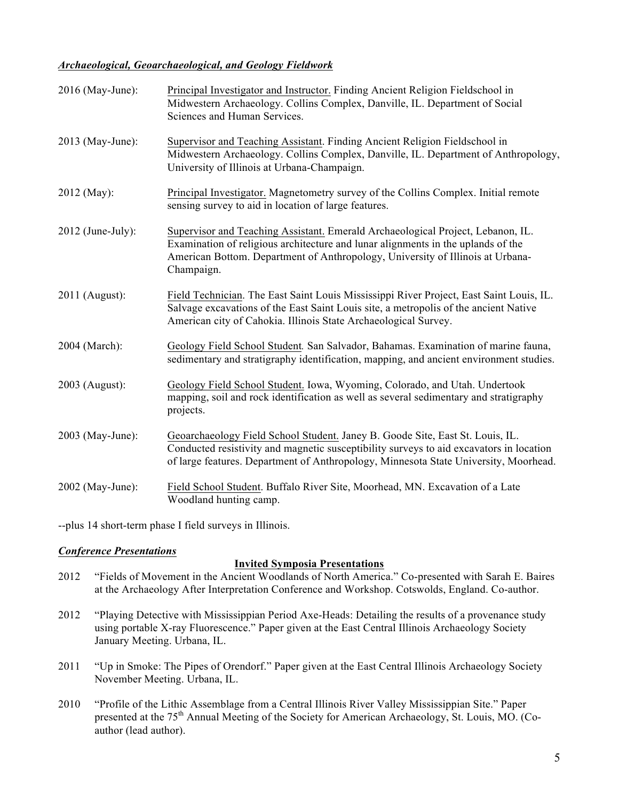## *Archaeological, Geoarchaeological, and Geology Fieldwork*

| 2016 (May-June):    | Principal Investigator and Instructor. Finding Ancient Religion Fieldschool in<br>Midwestern Archaeology. Collins Complex, Danville, IL. Department of Social<br>Sciences and Human Services.                                                                       |
|---------------------|---------------------------------------------------------------------------------------------------------------------------------------------------------------------------------------------------------------------------------------------------------------------|
| 2013 (May-June):    | Supervisor and Teaching Assistant. Finding Ancient Religion Fieldschool in<br>Midwestern Archaeology. Collins Complex, Danville, IL. Department of Anthropology,<br>University of Illinois at Urbana-Champaign.                                                     |
| 2012 (May):         | Principal Investigator. Magnetometry survey of the Collins Complex. Initial remote<br>sensing survey to aid in location of large features.                                                                                                                          |
| $2012$ (June-July): | Supervisor and Teaching Assistant. Emerald Archaeological Project, Lebanon, IL.<br>Examination of religious architecture and lunar alignments in the uplands of the<br>American Bottom. Department of Anthropology, University of Illinois at Urbana-<br>Champaign. |
| 2011 (August):      | Field Technician. The East Saint Louis Mississippi River Project, East Saint Louis, IL.<br>Salvage excavations of the East Saint Louis site, a metropolis of the ancient Native<br>American city of Cahokia. Illinois State Archaeological Survey.                  |
| 2004 (March):       | Geology Field School Student. San Salvador, Bahamas. Examination of marine fauna,<br>sedimentary and stratigraphy identification, mapping, and ancient environment studies.                                                                                         |
| 2003 (August):      | Geology Field School Student. Iowa, Wyoming, Colorado, and Utah. Undertook<br>mapping, soil and rock identification as well as several sedimentary and stratigraphy<br>projects.                                                                                    |
| 2003 (May-June):    | Geoarchaeology Field School Student. Janey B. Goode Site, East St. Louis, IL.<br>Conducted resistivity and magnetic susceptibility surveys to aid excavators in location<br>of large features. Department of Anthropology, Minnesota State University, Moorhead.    |
| 2002 (May-June):    | Field School Student. Buffalo River Site, Moorhead, MN. Excavation of a Late<br>Woodland hunting camp.                                                                                                                                                              |

--plus 14 short-term phase I field surveys in Illinois.

## *Conference Presentations*

## **Invited Symposia Presentations**

- 2012 "Fields of Movement in the Ancient Woodlands of North America." Co-presented with Sarah E. Baires at the Archaeology After Interpretation Conference and Workshop. Cotswolds, England. Co-author.
- 2012 "Playing Detective with Mississippian Period Axe-Heads: Detailing the results of a provenance study using portable X-ray Fluorescence." Paper given at the East Central Illinois Archaeology Society January Meeting. Urbana, IL.
- 2011 "Up in Smoke: The Pipes of Orendorf." Paper given at the East Central Illinois Archaeology Society November Meeting. Urbana, IL.
- 2010 "Profile of the Lithic Assemblage from a Central Illinois River Valley Mississippian Site." Paper presented at the 75<sup>th</sup> Annual Meeting of the Society for American Archaeology, St. Louis, MO. (Coauthor (lead author).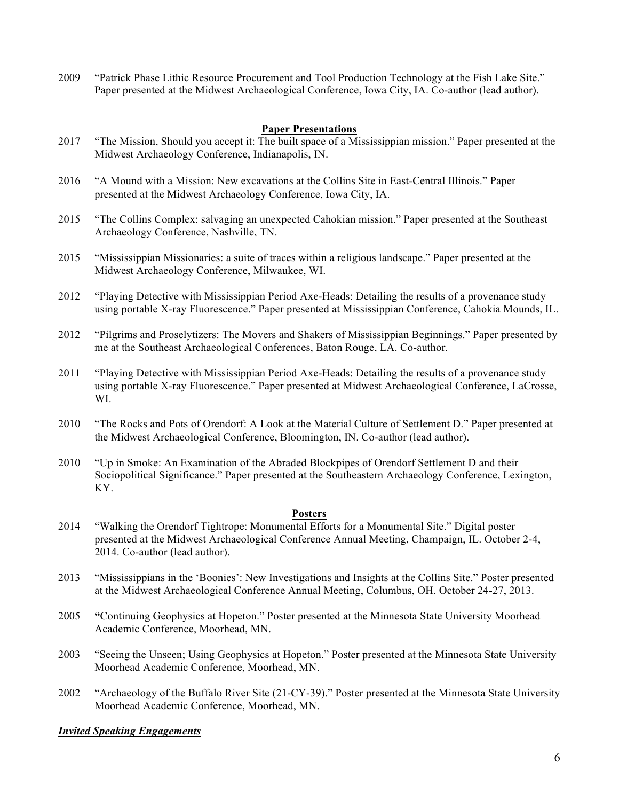2009 "Patrick Phase Lithic Resource Procurement and Tool Production Technology at the Fish Lake Site." Paper presented at the Midwest Archaeological Conference, Iowa City, IA. Co-author (lead author).

# **Paper Presentations**

- 2017 "The Mission, Should you accept it: The built space of a Mississippian mission." Paper presented at the Midwest Archaeology Conference, Indianapolis, IN.
- 2016 "A Mound with a Mission: New excavations at the Collins Site in East-Central Illinois." Paper presented at the Midwest Archaeology Conference, Iowa City, IA.
- 2015 "The Collins Complex: salvaging an unexpected Cahokian mission." Paper presented at the Southeast Archaeology Conference, Nashville, TN.
- 2015 "Mississippian Missionaries: a suite of traces within a religious landscape." Paper presented at the Midwest Archaeology Conference, Milwaukee, WI.
- 2012 "Playing Detective with Mississippian Period Axe-Heads: Detailing the results of a provenance study using portable X-ray Fluorescence." Paper presented at Mississippian Conference, Cahokia Mounds, IL.
- 2012 "Pilgrims and Proselytizers: The Movers and Shakers of Mississippian Beginnings." Paper presented by me at the Southeast Archaeological Conferences, Baton Rouge, LA. Co-author.
- 2011 "Playing Detective with Mississippian Period Axe-Heads: Detailing the results of a provenance study using portable X-ray Fluorescence." Paper presented at Midwest Archaeological Conference, LaCrosse, WI.
- 2010 "The Rocks and Pots of Orendorf: A Look at the Material Culture of Settlement D." Paper presented at the Midwest Archaeological Conference, Bloomington, IN. Co-author (lead author).
- 2010 "Up in Smoke: An Examination of the Abraded Blockpipes of Orendorf Settlement D and their Sociopolitical Significance." Paper presented at the Southeastern Archaeology Conference, Lexington, KY.

#### **Posters**

- 2014 "Walking the Orendorf Tightrope: Monumental Efforts for a Monumental Site." Digital poster presented at the Midwest Archaeological Conference Annual Meeting, Champaign, IL. October 2-4, 2014. Co-author (lead author).
- 2013 "Mississippians in the 'Boonies': New Investigations and Insights at the Collins Site." Poster presented at the Midwest Archaeological Conference Annual Meeting, Columbus, OH. October 24-27, 2013.
- 2005 **"**Continuing Geophysics at Hopeton." Poster presented at the Minnesota State University Moorhead Academic Conference, Moorhead, MN.
- 2003 "Seeing the Unseen; Using Geophysics at Hopeton." Poster presented at the Minnesota State University Moorhead Academic Conference, Moorhead, MN.
- 2002 "Archaeology of the Buffalo River Site (21-CY-39)." Poster presented at the Minnesota State University Moorhead Academic Conference, Moorhead, MN.

#### *Invited Speaking Engagements*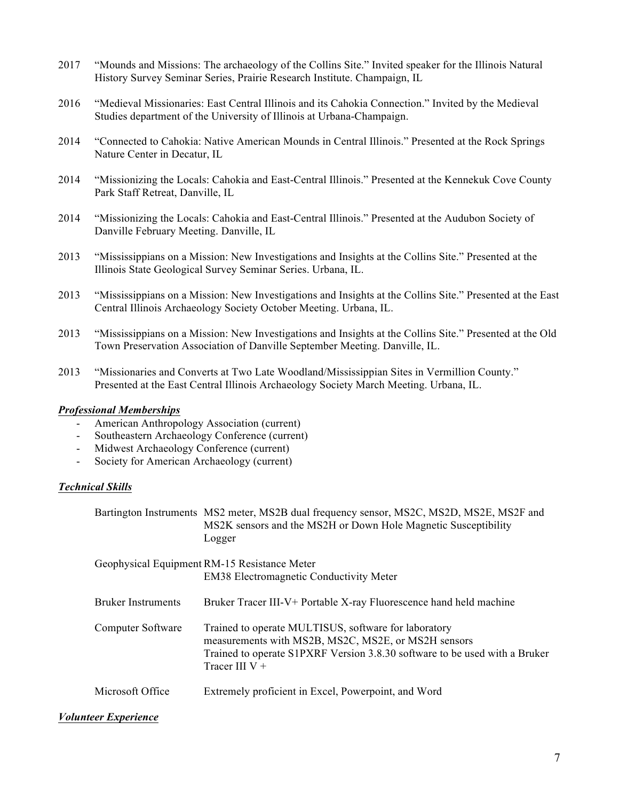- 2017 "Mounds and Missions: The archaeology of the Collins Site." Invited speaker for the Illinois Natural History Survey Seminar Series, Prairie Research Institute. Champaign, IL
- 2016 "Medieval Missionaries: East Central Illinois and its Cahokia Connection." Invited by the Medieval Studies department of the University of Illinois at Urbana-Champaign.
- 2014 "Connected to Cahokia: Native American Mounds in Central Illinois." Presented at the Rock Springs Nature Center in Decatur, IL
- 2014 "Missionizing the Locals: Cahokia and East-Central Illinois." Presented at the Kennekuk Cove County Park Staff Retreat, Danville, IL
- 2014 "Missionizing the Locals: Cahokia and East-Central Illinois." Presented at the Audubon Society of Danville February Meeting. Danville, IL
- 2013 "Mississippians on a Mission: New Investigations and Insights at the Collins Site." Presented at the Illinois State Geological Survey Seminar Series. Urbana, IL.
- 2013 "Mississippians on a Mission: New Investigations and Insights at the Collins Site." Presented at the East Central Illinois Archaeology Society October Meeting. Urbana, IL.
- 2013 "Mississippians on a Mission: New Investigations and Insights at the Collins Site." Presented at the Old Town Preservation Association of Danville September Meeting. Danville, IL.
- 2013 "Missionaries and Converts at Two Late Woodland/Mississippian Sites in Vermillion County." Presented at the East Central Illinois Archaeology Society March Meeting. Urbana, IL.

#### *Professional Memberships*

- American Anthropology Association (current)
- Southeastern Archaeology Conference (current)
- Midwest Archaeology Conference (current)
- Society for American Archaeology (current)

## *Technical Skills*

| Bartington Instruments MS2 meter, MS2B dual frequency sensor, MS2C, MS2D, MS2E, MS2F and |
|------------------------------------------------------------------------------------------|
| MS2K sensors and the MS2H or Down Hole Magnetic Susceptibility                           |
| Logger                                                                                   |

|                           | Geophysical Equipment RM-15 Resistance Meter<br><b>EM38 Electromagnetic Conductivity Meter</b>                                                                                                                |
|---------------------------|---------------------------------------------------------------------------------------------------------------------------------------------------------------------------------------------------------------|
| <b>Bruker Instruments</b> | Bruker Tracer III-V+ Portable X-ray Fluorescence hand held machine                                                                                                                                            |
| Computer Software         | Trained to operate MULTISUS, software for laboratory<br>measurements with MS2B, MS2C, MS2E, or MS2H sensors<br>Trained to operate S1PXRF Version 3.8.30 software to be used with a Bruker<br>Tracer III $V +$ |
| Microsoft Office          | Extremely proficient in Excel, Powerpoint, and Word                                                                                                                                                           |

#### *Volunteer Experience*